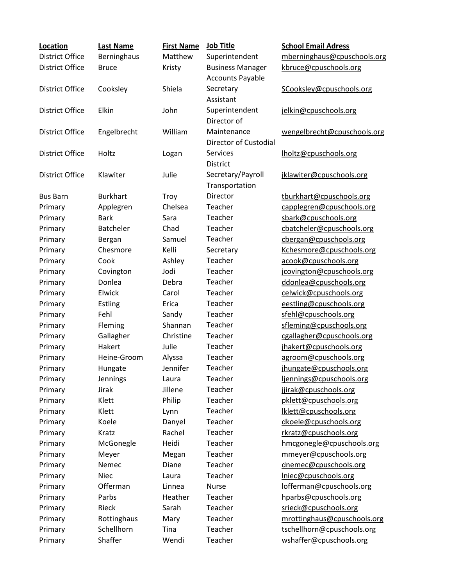| Location               | <b>Last Name</b>      | <b>First Name</b>    | <b>Job Title</b>             | <b>School Email Adress</b>                          |
|------------------------|-----------------------|----------------------|------------------------------|-----------------------------------------------------|
| <b>District Office</b> | Berninghaus           | Matthew              | Superintendent               | mberninghaus@cpuschools.org                         |
| <b>District Office</b> | <b>Bruce</b>          | Kristy               | <b>Business Manager</b>      | kbruce@cpuschools.org                               |
|                        |                       |                      | <b>Accounts Payable</b>      |                                                     |
| <b>District Office</b> | Cooksley              | Shiela               | Secretary                    | SCooksley@cpuschools.org                            |
|                        |                       |                      | Assistant                    |                                                     |
| <b>District Office</b> | Elkin                 | John                 | Superintendent               | jelkin@cpuschools.org                               |
|                        |                       |                      | Director of                  |                                                     |
| <b>District Office</b> | Engelbrecht           | William              | Maintenance                  | wengelbrecht@cpuschools.org                         |
|                        |                       |                      | <b>Director of Custodial</b> |                                                     |
| <b>District Office</b> | Holtz                 | Logan                | <b>Services</b>              | lholtz@cpuschools.org                               |
|                        |                       |                      | <b>District</b>              |                                                     |
| <b>District Office</b> | Klawiter              | Julie                | Secretary/Payroll            | jklawiter@cpuschools.org                            |
|                        |                       |                      | Transportation               |                                                     |
| <b>Bus Barn</b>        | <b>Burkhart</b>       | Troy                 | Director                     | tburkhart@cpuschools.org                            |
| Primary                | Applegren             | Chelsea              | Teacher                      | capplegren@cpuschools.org                           |
| Primary                | <b>Bark</b>           | Sara                 | Teacher                      | sbark@cpuschools.org                                |
| Primary                | <b>Batcheler</b>      | Chad                 | Teacher                      | cbatcheler@cpuschools.org                           |
| Primary                | Bergan                | Samuel               | Teacher                      | cbergan@cpuschools.org                              |
| Primary                | Chesmore              | Kelli                | Secretary                    | Kchesmore@cpuschools.org                            |
| Primary                | Cook                  | Ashley               | Teacher                      | acook@cpuschools.org                                |
| Primary                | Covington             | Jodi                 | Teacher                      | jcovington@cpuschools.org                           |
| Primary                | Donlea                | Debra                | Teacher                      | ddonlea@cpuschools.org                              |
| Primary                | Elwick                | Carol                | Teacher                      | celwick@cpuschools.org                              |
| Primary                | <b>Estling</b>        | Erica                | Teacher                      | eestling@cpuschools.org                             |
| Primary                | Fehl                  | Sandy                | Teacher                      | sfehl@cpuschools.org                                |
| Primary                | Fleming               | Shannan<br>Christine | Teacher<br>Teacher           | sfleming@cpuschools.org                             |
| Primary                | Gallagher             | Julie                | Teacher                      | cgallagher@cpuschools.org                           |
| Primary                | Hakert<br>Heine-Groom |                      | Teacher                      | jhakert@cpuschools.org                              |
| Primary                |                       | Alyssa<br>Jennifer   | Teacher                      | agroom@cpuschools.org                               |
| Primary<br>Primary     | Hungate<br>Jennings   | Laura                | Teacher                      | jhungate@cpuschools.org<br>ljennings@cpuschools.org |
| Primary                | Jirak                 | Jillene              | Teacher                      | jjirak@cpuschools.org                               |
| Primary                | Klett                 | Philip               | Teacher                      | pklett@cpuschools.org                               |
| Primary                | Klett                 | Lynn                 | Teacher                      | lklett@cpuschools.org                               |
| Primary                | Koele                 | Danyel               | Teacher                      | dkoele@cpuschools.org                               |
| Primary                | Kratz                 | Rachel               | Teacher                      | rkratz@cpuschools.org                               |
| Primary                | McGonegle             | Heidi                | Teacher                      | hmcgonegle@cpuschools.org                           |
| Primary                | Meyer                 | Megan                | Teacher                      | mmeyer@cpuschools.org                               |
| Primary                | Nemec                 | Diane                | Teacher                      | dnemec@cpuschools.org                               |
| Primary                | <b>Niec</b>           | Laura                | Teacher                      | Iniec@cpuschools.org                                |
| Primary                | Offerman              | Linnea               | <b>Nurse</b>                 | lofferman@cpuschools.org                            |
| Primary                | Parbs                 | Heather              | Teacher                      | hparbs@cpuschools.org                               |
| Primary                | Rieck                 | Sarah                | Teacher                      | srieck@cpuschools.org                               |
| Primary                | Rottinghaus           | Mary                 | Teacher                      | mrottinghaus@cpuschools.org                         |
| Primary                | Schellhorn            | Tina                 | Teacher                      | tschellhorn@cpuschools.org                          |
| Primary                | Shaffer               | Wendi                | Teacher                      | wshaffer@cpuschools.org                             |
|                        |                       |                      |                              |                                                     |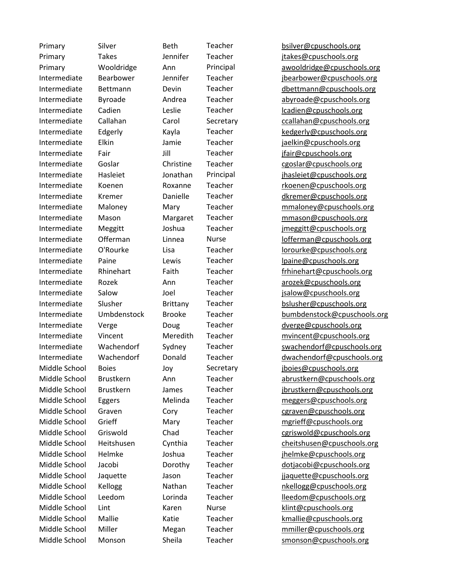Primary Silver Beth Teacher [bsilver@cpuschools.org](mailto:bsilver@cpuschools.org) Primary Takes Jennifer Teacher [jtakes@cpuschools.org](mailto:jtakes@cpuschools.org) Primary Wooldridge Ann Principal [awooldridge@cpuschools.org](mailto:awooldridge@cpuschools.org) Intermediate Bearbower Jennifer Teacher [jbearbower@cpuschools.org](mailto:jbearbower@cpuschools.org) Intermediate Bettmann Devin Teacher [dbettmann@cpuschools.org](mailto:dbettmann@cpuschools.org) Intermediate Byroade Andrea Teacher [abyroade@cpuschools.org](mailto:abyroade@cpuschools.org) Intermediate Cadien Leslie Teacher [lcadien@cpuschools.org](mailto:lcadien@cpuschools.org) Intermediate Callahan Carol Secretary Callahan@cpuschools.org Intermediate Edgerly Kayla Teacher [kedgerly@cpuschools.org](mailto:kedgerly@cpuschools.org) Intermediate Elkin Jamie Teacher [jaelkin@cpuschools.org](mailto:jaelkin@cpuschools.org) Intermediate Fair **III** Teacher [jfair@cpuschools.org](mailto:jfair@cpuschools.org) Intermediate Goslar Christine Teacher [cgoslar@cpuschools.org](mailto:cgoslar@cpuschools.org) Intermediate Hasleiet Jonathan Principal [jhasleiet@cpuschools.org](mailto:jhasleiet@cpuschools.org) Intermediate Koenen Roxanne Teacher reacher [rkoenen@cpuschools.org](mailto:rkoenen@cpuschools.org) Intermediate Kremer Danielle Teacher [dkremer@cpuschools.org](mailto:dkremer@cpuschools.org) Intermediate Maloney Mary Teacher [mmaloney@cpuschools.org](mailto:mmaloney@cpuschools.org) Intermediate Mason Margaret Teacher [mmason@cpuschools.org](mailto:mmason@cpuschools.org) Intermediate Meggitt Joshua Teacher [jmeggitt@cpuschools.org](mailto:jmeggitt@cpuschools.org) Intermediate Offerman Linnea Nurse **[lofferman@cpuschools.org](mailto:lofferman@cpuschools.org)** Intermediate O'Rourke Lisa Teacher [lorourke@cpuschools.org](mailto:lorourke@cpuschools.org) Intermediate Paine Lewis Teacher [lpaine@cpuschools.org](mailto:lpaine@cpuschools.org) Intermediate Rhinehart Faith Teacher Faith Faith Teacher Frhinehart@cpuschools.org Intermediate Rozek Ann Teacher [arozek@cpuschools.org](mailto:arozek@cpuschools.org) Intermediate Salow Joel Teacher [jsalow@cpuschools.org](mailto:jsalow@cpuschools.org) Intermediate Slusher Brittany Teacher [bslusher@cpuschools.org](mailto:bslusher@cpuschools.org) Intermediate Umbdenstock Brooke Teacher [bumbdenstock@cpuschools.org](mailto:bumbdenstock@cpuschools.org) Intermediate Verge Doug Teacher [dverge@cpuschools.org](mailto:dverge@cpuschools.org) Intermediate Vincent Meredith Teacher [mvincent@cpuschools.org](mailto:mvincent@cpuschools.org) Intermediate Wachendorf Sydney Teacher [swachendorf@cpuschools.org](mailto:swachendorf@cpuschools.org) Intermediate Wachendorf Donald Teacher [dwachendorf@cpuschools.org](mailto:dwachendorf@cpuschools.org) Middle School Boies Joy Secretary [jboies@cpuschools.org](mailto:jboies@cpuschools.org) Middle School Brustkern Ann Teacher [abrustkern@cpuschools.org](mailto:abrustkern@cpuschools.org) Middle School Brustkern James Teacher in [jbrustkern@cpuschools.org](mailto:jbrustkern@cpuschools.org) Middle School Eggers Melinda Teacher [meggers@cpuschools.org](mailto:meggers@cpuschools.org) Middle School Graven Cory Teacher [cgraven@cpuschools.org](mailto:cgraven@cpuschools.org) Middle School Grieff Mary Teacher [mgrieff@cpuschools.org](mailto:mgrieff@cpuschools.org) Middle School Griswold Chad Teacher [cgriswold@cpuschools.org](mailto:cgriswold@cpuschools.org) Middle School Heitshusen Cynthia Teacher [cheitshusen@cpuschools.org](mailto:cheitshusen@cpuschools.org) Middle School Helmke Joshua Teacher [jhelmke@cpuschools.org](mailto:jhelmke@cpuschools.org) Middle School Jacobi Dorothy Teacher [dotjacobi@cpuschools.org](mailto:dotjacobi@cpuschools.org) Middle School Jaquette Jason Teacher [jjaquette@cpuschools.org](mailto:jjaquette@cpuschools.org) Middle School Kellogg **Nathan** Teacher [nkellogg@cpuschools.org](mailto:nkellogg@cpuschools.org) Middle School Leedom Lorinda Teacher [lleedom@cpuschools.org](mailto:lleedom@cpuschools.org) Middle School Lint Karen Nurse Kalint@cpuschools.org Middle School Mallie Katie Teacher Kamallie@cpuschools.org Middle School Miller Megan Teacher [mmiller@cpuschools.org](mailto:mmiller@cpuschools.org) Middle School Monson Sheila Teacher Smonson@cpuschools.org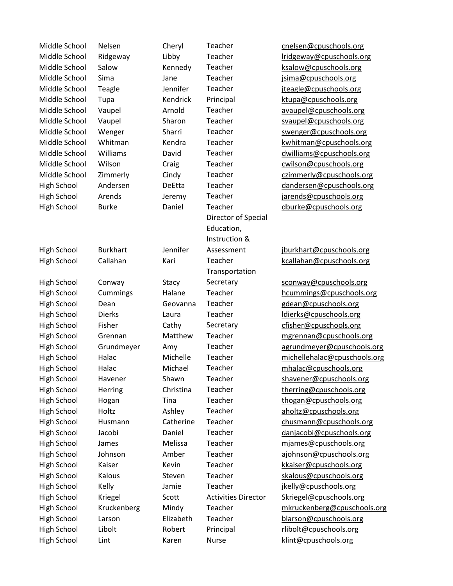Middle School Nelsen Cheryl Teacher [cnelsen@cpuschools.org](mailto:cnelsen@cpuschools.org) Middle School Ridgeway Libby Teacher letting unit all tridgeway@cpuschools.org Middle School Salow **Kennedy** Teacher [ksalow@cpuschools.org](mailto:ksalow@cpuschools.org) Middle School Sima Jane Teacher [jsima@cpuschools.org](mailto:jsima@cpuschools.org) Middle School Teagle Teanifer Teacher iteagle@cpuschools.org Middle School Tupa **Kendrick** Principal Kupa@cpuschools.org Middle School Vaupel **Arnold** Teacher [avaupel@cpuschools.org](mailto:avaupel@cpuschools.org) Middle School Vaupel Sharon Teacher Syaupel@cpuschools.org Middle School Wenger Sharri Teacher [swenger@cpuschools.org](mailto:swenger@cpuschools.org) Middle School Whitman Kendra Teacher Kendra Kendram Kendra Kendra Kungkung Kungkungkungkungkungkungkungkungkun Middle School Williams Mavid Teacher Middle School Milliams David Teacher Mavilliams @cpuschools.org Middle School Wilson Craig Teacher [cwilson@cpuschools.org](mailto:cwilson@cpuschools.org) Middle School Zimmerly Cindy Teacher [czimmerly@cpuschools.org](mailto:czimmerly@cpuschools.org) High School Andersen DeEtta Teacher [dandersen@cpuschools.org](mailto:dandersen@cpuschools.org) High School Arends Jeremy Teacher [jarends@cpuschools.org](mailto:jarends@cpuschools.org) High School Burke **Daniel** Teacher and Deutke@cpuschools.org High School Burkhart Jennifer Director of Special Education, Instruction & Assessment [jburkhart@cpuschools.org](mailto:jburkhart@cpuschools.org) High School Callahan Kari Teacher [kcallahan@cpuschools.org](mailto:kcallahan@cpuschools.org) High School Conway Stacy Transportation Secretary [sconway@cpuschools.org](mailto:sconway@cpuschools.org) High School Cummings Halane Teacher hoummings@cpuschools.org High School Dean Geovanna Teacher gedean@cpuschools.org High School Dierks Laura Teacher [ldierks@cpuschools.org](mailto:ldierks@cpuschools.org) High School Fisher Cathy Secretary [cfisher@cpuschools.org](mailto:cfisher@cpuschools.org) High School Grennan Matthew Teacher [mgrennan@cpuschools.org](mailto:mgrennan@cpuschools.org) High School Grundmeyer Amy Teacher [agrundmeyer@cpuschools.org](mailto:agrundmeyer@cpuschools.org) High School Halac Michelle Teacher [michellehalac@cpuschools.org](mailto:michellehalac@cpuschools.org) High School Halac Michael Teacher [mhalac@cpuschools.org](mailto:mhalac@cpuschools.org) High School Havener Shawn Teacher [shavener@cpuschools.org](mailto:shavener@cpuschools.org) High School Herring Christina Teacher [therring@cpuschools.org](mailto:therring@cpuschools.org) High School Hogan Tina Teacher [thogan@cpuschools.org](mailto:thogan@cpuschools.org) High School Holtz **Ashley** Teacher [aholtz@cpuschools.org](mailto:aholtz@cpuschools.org) High School Husmann Catherine Teacher [chusmann@cpuschools.org](mailto:chusmann@cpuschools.org) High School Jacobi Daniel Teacher [danjacobi@cpuschools.org](mailto:danjacobi@cpuschools.org) High School James Melissa Teacher miames@cpuschools.org High School Johnson Amber Teacher [ajohnson@cpuschools.org](mailto:ajohnson@cpuschools.org) High School Kaiser Kevin Teacher [kkaiser@cpuschools.org](mailto:kkaiser@cpuschools.org) High School Kalous Steven Teacher [skalous@cpuschools.org](mailto:skalous@cpuschools.org) High School Kelly Jamie Teacher [jkelly@cpuschools.org](mailto:jkelly@cpuschools.org) High School Kriegel Scott Activities Director [Skriegel@cpuschools.org](mailto:Skriegel@cpuschools.org) High School Kruckenberg Mindy Teacher [mkruckenberg@cpuschools.org](mailto:mkruckenberg@cpuschools.org) High School Larson Elizabeth Teacher [blarson@cpuschools.org](mailto:blarson@cpuschools.org) High School Libolt Robert Principal [rlibolt@cpuschools.org](mailto:rlibolt@cpuschools.org) High School Lint Karen Nurse Kalint@cpuschools.org